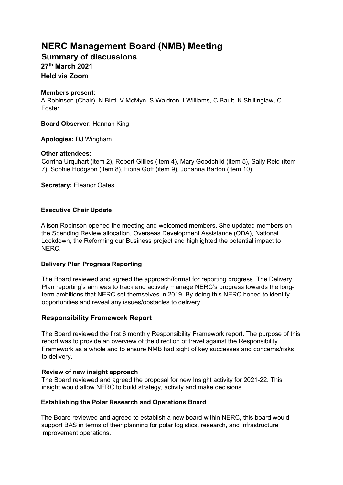# **NERC Management Board (NMB) Meeting**

**Summary of discussions 27th March 2021 Held via Zoom** 

#### **Members present:**

A Robinson (Chair), N Bird, V McMyn, S Waldron, I Williams, C Bault, K Shillinglaw, C Foster

**Board Observer**: Hannah King

# **Apologies:** DJ Wingham

# **Other attendees:**

Corrina Urquhart (item 2), Robert Gillies (item 4), Mary Goodchild (item 5), Sally Reid (item 7), Sophie Hodgson (item 8), Fiona Goff (item 9), Johanna Barton (item 10).

**Secretary:** Eleanor Oates.

# **Executive Chair Update**

Alison Robinson opened the meeting and welcomed members. She updated members on the Spending Review allocation, Overseas Development Assistance (ODA), National Lockdown, the Reforming our Business project and highlighted the potential impact to NERC.

#### **Delivery Plan Progress Reporting**

The Board reviewed and agreed the approach/format for reporting progress. The Delivery Plan reporting's aim was to track and actively manage NERC's progress towards the longterm ambitions that NERC set themselves in 2019. By doing this NERC hoped to identify opportunities and reveal any issues/obstacles to delivery.

# **Responsibility Framework Report**

The Board reviewed the first 6 monthly Responsibility Framework report. The purpose of this report was to provide an overview of the direction of travel against the Responsibility Framework as a whole and to ensure NMB had sight of key successes and concerns/risks to delivery.

#### **Review of new insight approach**

The Board reviewed and agreed the proposal for new Insight activity for 2021-22. This insight would allow NERC to build strategy, activity and make decisions.

# **Establishing the Polar Research and Operations Board**

The Board reviewed and agreed to establish a new board within NERC, this board would support BAS in terms of their planning for polar logistics, research, and infrastructure improvement operations.